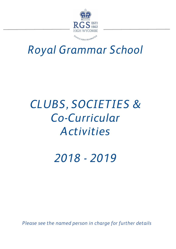

# *Royal Grammar School*

# *CLUBS, SOCIETIES & Co-Curricular Activities*

*2018 - 2019*

*Please see the named person in charge for further details*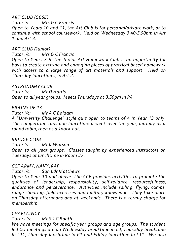# *ART CLUB (GCSE)*

*Tutor i/c: Mrs G C Francis Open to Years 10 and 11, the Art Club is for personal/private work, or to continue with school coursework. Held on Wednesday 3.40-5.00pm in Art 1 and Art 3.*

# *ART CLUB (Junior)*

*Tutor i/c: Mrs G C Francis*

*Open to Years 7–9, the Junior Art Homework Club is an opportunity for boys to create exciting and engaging pieces of practical based homework with access to a large range of art materials and support. Held on Thursday lunchtimes, in Art 2.*

# *ASTRONOMY CLUB*

*Tutor i/c: Mr O Harris Open to all year groups. Meets Thursdays at 3.50pm in P4.*

# *BRAINS OF 13*

*Tutor i/c: Mr A C Balaam*

*A "University Challenge" style quiz open to teams of 4 in Year 13 only. The competition runs one lunchtime a week over the year, initially as a round robin, then as a knock -out.*

# *BRIDGE CLUB*

*Tutor i/c: Mr K Watson Open to all year groups. Classes taught by experienced instructors on Tuesdays at lunchtime in Room 37.*

# *CCF ARMY, NAVY, RAF*

*Tutor i/c: Sqn Ldr Matthews*

*Open to Year 10 and above. The CCF provides activities to promote the qualities of leadership, responsibility, self-reliance, resourcefulness, endurance and perseverance. Activities include sailing, flying, camps, range shooting, field exercises and military knowledge. They take place on Thursday afternoons and at weekends. There is a termly charge for membership.*

# *CHAPLAINCY*

# *Tutors i/c: Mr S J C Booth*

*We have meetings for specific year groups and age groups. The student led CU meetings are on Wednesday breaktime in L3; Thursday breaktime in L11; Thursday lunchtime in P1 and Friday lunchtime in L11. We also*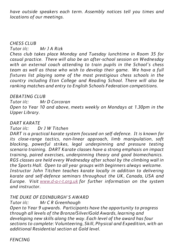*have outside speakers each term. Assembly notices tell you times and locations of our meetings.*

# *CHESS CLUB*

*Tutor i/c: Mr J A Rizk*

*Chess club takes place Monday and Tuesday lunchtime in Room 35 for casual practice. There will also be an after-school session on Wednesday with an external coach attending to train pupils in the School's chess team as well as those who wish to develop their game. We have a full fixtures list playing some of the most prestigious chess schools in the country including Eton College and Reading School. There will also be ranking matches and entry to English Schools Federation competitions.*

# *DEBATING CLUB*

*Tutor i/c: Mr D Corcoran Open to Year 10 and above, meets weekly on Mondays at 1.30pm in the Upper Library.*

# *DART KARATE*

*Tutor i/c: Dr J W Titchen*

*DART is a practical karate system focused on self-defence. It is known for its close-range tactics, non-linear approach, limb manipulation, soft blocking, powerful strikes, legal underpinning and pressure testing scenario training. DART Karate classes have a strong emphasis on impact training, paired exercises, underpinning theory and good biomechanics. RGS classes are held every Wednesday after school by the climbing wall in the Sports Hall. Open to all year groups with beginners always welcome. Instructor John Titchen teaches karate locally in addition to delivering karate and self-defence seminars throughout the UK, Canada, USA and Europe. Visit [www.d-a-r-t.org.uk](http://www.d-a-r-t.org.uk/) for further information on the system and instructor.*

# *THE DUKE OF EDINBURGH'S AWARD*

### *Tutor i/c: Mr C R Greenhough*

*Open to Year 9 upwards. Participants have the opportunity to progress through all levels of the Bronze/Silver/Gold Awards, learning and developing new skills along the way. Each level of the award has four sections to complete: Volunteering, Skill, Physical and Expedition, with an additional Residential section at Gold level.*

*FENCING*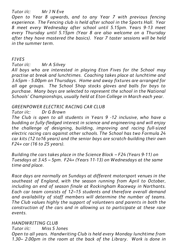# *Tutor i/c: Mr J N Eve*

*Open to Year 8 upwards, and to any Year 7 with previous fencing experience. The Fencing club is held after school in the Sports Hall. Year 8 meet every Wednesday after school until 5.15pm. Years 9-13 meet every Thursday until 5.15pm (Year 8 are also welcome on a Thursday after they have mastered the basics). Year 7 taster sessions will be held in the summer term.*

# *FIVES*

*Tutor i/c: Mr A Silvey*

*All boys who are interested in playing Eton Fives for the School may practise at break and lunchtimes. Coaching takes place at lunchtime and 3.45pm - 5.00pm on Thursdays. Home and away fixtures are arranged for all age groups. The School Shop stocks gloves and balls for boys to purchase. Many boys are selected to represent the school in the National Schools' Championships, usually held at Eton College in March each year.*

# *GREENPOWER ELECTRIC RACING CAR CLUB*

### *Tutor i/c: Dr G Brown*

*The Club is open to all students in Years 9 -12 inclusive, who have a budding or fully-fledged interest in science and engineering and will enjoy the challenge of designing, building, improving and racing full-sized electric racing cars against other schools. The School has two Formula 24 car kits (12 to16 years) and the senior boys are scratch-building their own F24+ car (16 to 25 years).* 

*Building the cars takes place in the Science Block – F24 (Years 9-11) on Tuesdays at 3.45 – 5pm. F24+ (Years 11-13) on Wednesdays at the same time and place.* 

*Race days are normally on Sundays at different motorsport venues in the southeast of England, with the season running from April to October, including an end of season finale at Rockingham Raceway in Northants. Each car team consists of 12–15 students and therefore overall demand and availability of staff members will determine the number of teams. The Club values highly the support of volunteers and parents in both the construction of the cars and in allowing us to participate at these race events.*

# *HANDWRITING CLUB*

*Tutor i/c: Miss S Jones Open to all years. Handwriting Club is held every Monday lunchtime from 1.30– 2.00pm in the room at the back of the Library. Work is done in*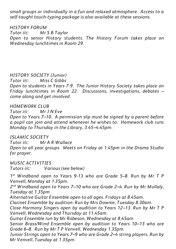*small groups or individually in a fun and relaxed atmosphere. Access to a self-taught touch-typing package is also available at these sessions.*

*HISTORY FORUM Tutor i/c: Mr S B Taylor Open to senior History students. The History Forum takes place on Wednesday lunchtimes in Room 29.*

# *HISTORY SOCIETY (Junior)*

*Tutor i/c: Miss C Gibbs*

*Open to students in Years 7-9. The Junior History Society takes place on Friday lunchtimes in Room 22. Discussions, investigations, debates – come along and get involved.*

### *HOMEWORK CLUB*

*Tutor i/c: Mr J N Eve*

*Open to Years 7–10. A permission slip must be signed by a parent before a pupil can join and attend whenever he wishes to. Homework club runs Monday to Thursday in the Library, 3.45–4.45pm.*

### *ISLAMIC SOCIETY*

*Tutor i/c: Mr A R Wallace Open to all year groups. Meets on Friday at 1.45pm in the Drama Studio for prayer.*

*MUSIC ACTIVITIES*

*Tutors i/c: Various (see below)*

*1 st Windband open to Years 9-13 who are Grade 5–8. Run by Mr T P Venvell, Monday at 1.35pm.*

*2 nd Windband open to Years 7–10 who are Grade 2–4. Run by Mr Mullaly, Tuesday at 1.35pm.*

*Alternative Guitar Ensemble open to all ages. Fridays at 8.45am.*

*Clarinet Ensemble by audition. Run by Mrs Downie, Tuesday 8.30am.*

*Close Harmony Singers open by audition to Years 12–13. Run by Mr T P Venvell, Wednesday and Thursday at 11.45am.*

*Guitar Ensemble run by Mr Robeson, Wednesday at 8.45am.*

*Senior Brass/Wind Ensemble open by audition to Years 10–13 who are Grade 6–8. Run by Mr T P Venvell, Wednesday 1.35pm.*

*Junior Strings open to Years 7–9 who are Grade 2–4 string players. Run by Mr Venvell, Tuesday at 1.35pm.*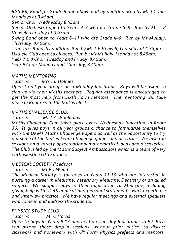*RGS Big Band for Grade 6 and above and by audition. Run by Mr J Craig, Mondays at 3.45pm.*

*Senior Choir Wednesday 8.45am.*

*Senior Orchestra open to Years 9–3 who are Grade 5–8. Run by Mr T P Venvell, Tuesday at 3.45pm.*

*Swing Band open to Years 8–11 who are Grade 4–6. Run by Mr Mullaly, Thursday, 8.40am.*

*Trad Jazz Band, by audition. Run by Mr T P Venvell, Thursday at 1.35pm. Ukulele Club open to all ages. Run by Mr Mullaly, Monday at 8.45am.*

*Year 7 & 8 Choir Tuesday and Friday, 8.45am.*

*Year 9 Choir Monday and Thursday, 8.40am.* 

# *MATHS MENTORING*

*Mrs 1 B Holmes* 

*Open to all year groups on a Monday lunchtime. Boys will be asked to sign up via their Maths teachers. Regular attendance is encouraged to get the most help from Sixth Form mentors. The mentoring will take place in Room 34 in the Maths block.*

# *MATHS CHALLENGE CLUB:*

*Tutor i/c: Mr T A Woolliams*

*Maths Challenge Club takes place every Wednesday lunchtime in Room 36. It gives boys in all year groups a chance to familiarise themselves with the UKMT Maths Challenge Papers as well as the opportunity to try out some of the Maths Team Challenge games and activities. We also run sessions on a variety of recreational mathematical ideas and discoveries. The Club is led by the Maths Subject Ambassadors which is a team of very enthusiastic Sixth Formers.*

# *MEDICAL SOCIETY (Medsoc)*

*Tutor i/c: Mr P J Wood*

*The Medical Society is for boys in Years 11-13 who are interested in pursuing a career in Medicine, Veterinary Medicine, Dentistry or an allied subject. We support boys in their application to Medicine, including giving help with UCAS applications, personal statements, work experience and interview practice. We have regular meetings and external speakers who come in and address the students.*

# *PHYSICS STUDY CLUB*

*Tutor i/c: Mr O Harris*

*Open to boys in Years 9-13 and held on Tuesday lunchtimes in P2. Boys can attend these drop-in sessions, without prior notice, to discuss classwork and homework with 6th Form Physics prefects and mentors.*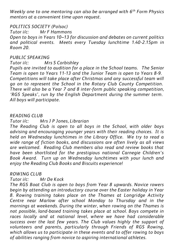*Weekly one to one mentoring can also be arranged with 6th Form Physics mentors at a convenient time upon request.*

*POLITICS SOCIETY (Polsoc)*

*Tutor i/c: Mr F Hammons*

*Open to boys in Years 10–13 for discussion and debates on current politics and political events. Meets every Tuesday lunchtime 1.40-2.15pm in Room 20.*

### *PUBLIC SPEAKING*

*Tutor i/c: Mrs S Corbishley*

*Pupils are invited to audition for a place in the School teams. The Senior Team is open to Years 11-13 and the Junior Team is open to Years 8-9. Competitions will take place after Christmas and any successful team will go on to represent the School in the Rotary Club County Competition. There will also be a Year 7 and 8 inter-form public speaking competition, 'RGS Speaks', run by the English Department during the summer term. All boys will participate.*

### *READING CLUB*

# *Tutor i/c: Mrs J P Jones, Librarian*

*The Reading Club is open to all boys in the School, with older boys advising and encouraging younger years with their reading choices. It is held on Wednesday lunchtimes in the Library Office. We try to read a wide range of fiction books, and discussions are often lively as all views are welcomed. Reading Club members also read and review books that have been shortlisted for the prestigious national Carnegie Children's Book Award. Turn up on Wednesday lunchtimes with your lunch and enjoy the Reading Club Books and Biscuits experience!*

### *ROWING CLUB*

### *Tutor i/c: Mr De Kock*

*The RGS Boat Club is open to boys from Year 8 upwards. Novice rowers begin by attending an introductory course over the Easter holiday in Year 8. Rowing training takes place on the Thames at Longridge Activity Centre near Marlow after school Monday to Thursday and in the mornings at weekends. During the winter, when rowing on the Thames is not possible, land-based training takes place at school. Boys compete in races locally and at national level, where we have had considerable success over the last few years. The Club values highly the support of volunteers and parents, particularly through Friends of RGS Rowing, which allows us to participate in these events and to offer rowing to boys of abilities ranging from novice to aspiring international athletes.*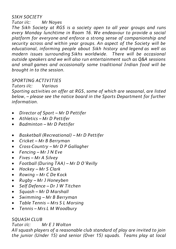# *SIKH SOCIETY*

# *Tutor i/c: Mr Noyes*

*The Sikh Society at RGS is a society open to all year groups and runs every Monday lunchtime in Room 16. We endeavour to provide a social platform for everyone and enforce a strong sense of companionship and security across and within year groups. An aspect of the Society will be educational, informing people about Sikh history and legend as well as modern issues surrounding Sikhs worldwide. There will be occasional outside speakers and we will also run entertainment such as Q&A sessions and small games and occasionally some traditional Indian food will be brought in to the session.* 

# *SPORTING ACTIVITIES*

# *Tutors i/c: Various*

*Sporting activities on offer at RGS, some of which are seasonal, are listed below, – please see the notice board in the Sports Department for further information.*

- *Director of Sport – Mr D Pettifer*
- *Athletics – Mr D Pettifer*
- *Badminton – Mr D Pettifer*
- *Basketball (Recreational) – Mr D Pettifer*
- *Cricket – Mr B Berryman*
- *Cross-Country – Mr D P Gallagher*
- *Fencing – Mr J N Eve*
- *Fives – Mr A Silvey*
- *Football (During TAA) – Mr D O'Reilly*
- *Hockey – Mr S Clark*
- *Rowing – Mr C De Kock*
- *Rugby – Mr J Honeyben*
- *Self Defence – Dr J W Titchen*
- *Squash – Mr D Marshall*
- *Swimming – Mr B Berryman*
- *Table Tennis – Mrs S L Morsing*
- *Tennis – Mrs L M Woodbury*

# *SQUASH CLUB*

*Tutor i/c: Mr E J Wolton*

*All squash players of a reasonable club standard of play are invited to join the junior (Under 15) and senior (Over 15) squads. Teams play at local*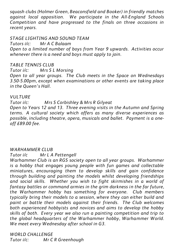*squash clubs (Holmer Green, Beaconsfield and Booker) in friendly matches against local opposition. We participate in the All-England Schools Competition and have progressed to the finals on three occasions in recent years.*

### *STAGE LIGHTING AND SOUND TEAM*

*Tutors i/c: Mr A C Balaam*

*Open to a limited number of boys from Year 9 upwards. Activities occur whenever there is a need and boys must apply to join.*

# *TABLE TENNIS CLUB*

*Tutor i/c: Mrs S L Morsing Open to all year groups. The Club meets in the Space on Wednesdays 3.50-5.00pm, except when examinations or other events are taking place in the Queen's Hall.*

# *VULTURE*

*Tutor i/c: Mrs S Corbishley & Mrs R Gilyeat Open to Years 12 and 13. Three evening visits in the Autumn and Spring terms. A cultural society which offers as many diverse experiences as possible, including theatre, opera, musicals and ballet. Payment is a oneoff £89.00 fee.*

# *WARHAMMER CLUB*

*Tutor i/c Mr L A Pettengell*

*Warhammer Club is an RGS society open to all year groups. Warhammer is a hobby that engages young people with fun games and collectable miniatures, encouraging them to develop skills and gain confidence through building and painting the models whilst developing friendships and social skills. Whether you wish to fight skirmishes in a world of fantasy battles or command armies in the grim darkness in the far future, the Warhammer hobby has something for everyone. Club members typically bring their models to a session, where they can either build and paint or battle their models against their friends. The Club welcomes both experienced hobbyists and novices and aims to develop the hobby skills of both. Every year we also run a painting competition and trip to the global headquarters of the Warhammer hobby, Warhammer World. We meet every Wednesday after school in G3.*

*WORLD CHALLENGE Tutor i/c: Mr C R Greenhough*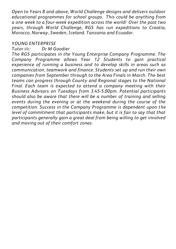*Open to Years 8 and above, World Challenge designs and delivers outdoor educational programmes for school groups. This could be anything from a one week to a four-week expedition across the world! Over the past two years, through World Challenge, RGS has run expeditions to Croatia, Morocco, Norway, Sweden, Iceland, Tanzania and Ecuador.*

# *YOUNG ENTERPRISE*

# *Tutor i/c: Dr M Goodier*

*The RGS participates in the Young Enterprise Company Programme. The Company Programme allows Year 12 Students to gain practical experience of running a business and to develop skills in areas such as communication, teamwork and finance. Students set up and run their own companies from September through to the Area Finals in March. The best teams can progress through County and Regional stages to the National Final. Each team is expected to attend a company meeting with their Business Advisors on Tuesdays from 3.45-5.00pm. Potential participants should also be aware that there will be a number of training and selling events during the evening or at the weekend during the course of the competition. Success in the Company Programme is dependent upon the level of commitment that participants make, but it is fair to say that that participants generally gain a great deal from being willing to get involved and moving out of their comfort zones.*